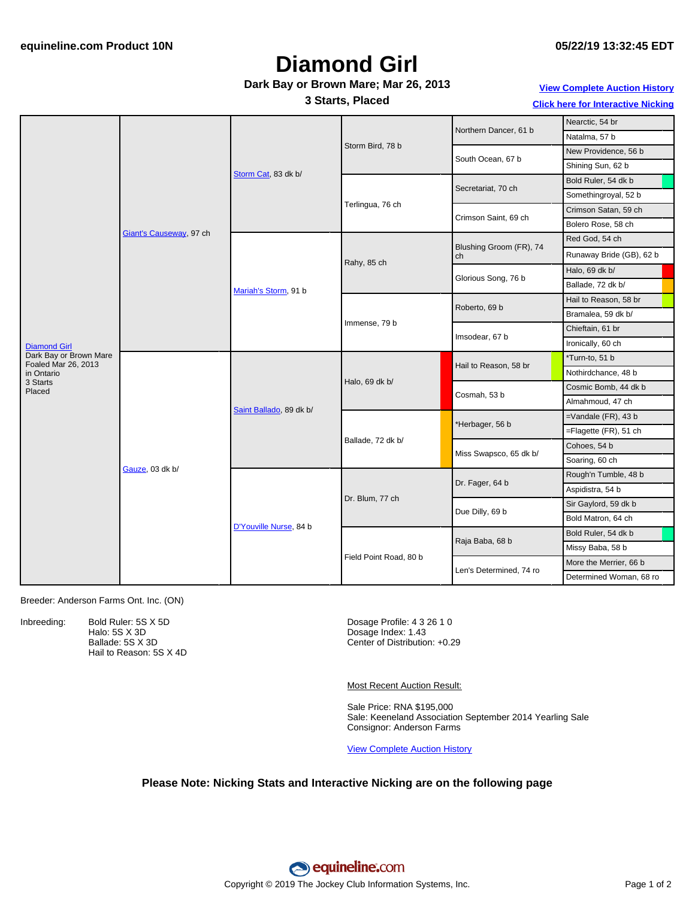# **Diamond Girl**

### **Dark Bay or Brown Mare; Mar 26, 2013**

**3 Starts, Placed**

**View [Complete](http://www.equineline.com/Free-Auction-Results.cfm?upsellReferenceNumber=&upsellHorseName=&upsellBreedType=&upsellHorseType=&upsellYOB=&lookupAuctionResults=true&tempHorseType=&tempSale=ALL&tempYear=ALL&search_type=HORSE&reference_number=9510207&horse_name=Fateful&horse_type=ALL&year=ALL&sale=ALL&consignor_id=&consignor_name=&buyer_id=&buyer_name=&price_range_low=&price_range_high=&availableConsignors=&availableBuyers=&fromFree5CrossPedigree=Y) Auction History**

**Click here for [Interactive](#page-1-0) Nicking**

| <b>Diamond Girl</b>                           | Giant's Causeway, 97 ch | Storm Cat, 83 dk b/     | Storm Bird, 78 b       | Northern Dancer, 61 b         | Nearctic, 54 br          |
|-----------------------------------------------|-------------------------|-------------------------|------------------------|-------------------------------|--------------------------|
|                                               |                         |                         |                        |                               | Natalma, 57 b            |
|                                               |                         |                         |                        | South Ocean, 67 b             | New Providence, 56 b     |
|                                               |                         |                         |                        |                               | Shining Sun, 62 b        |
|                                               |                         |                         | Terlingua, 76 ch       | Secretariat, 70 ch            | Bold Ruler, 54 dk b      |
|                                               |                         |                         |                        |                               | Somethingroyal, 52 b     |
|                                               |                         |                         |                        | Crimson Saint, 69 ch          | Crimson Satan, 59 ch     |
|                                               |                         |                         |                        |                               | Bolero Rose, 58 ch       |
|                                               |                         | Mariah's Storm, 91 b    | Rahy, 85 ch            | Blushing Groom (FR), 74<br>ch | Red God, 54 ch           |
|                                               |                         |                         |                        |                               | Runaway Bride (GB), 62 b |
|                                               |                         |                         |                        | Glorious Song, 76 b           | Halo, 69 dk b/           |
|                                               |                         |                         |                        |                               | Ballade, 72 dk b/        |
|                                               |                         |                         | Immense, 79 b          | Roberto, 69 b                 | Hail to Reason, 58 br    |
|                                               |                         |                         |                        |                               | Bramalea, 59 dk b/       |
|                                               |                         |                         |                        | Imsodear, 67 b                | Chieftain, 61 br         |
|                                               |                         |                         |                        |                               | Ironically, 60 ch        |
| Dark Bay or Brown Mare<br>Foaled Mar 26, 2013 | Gauze, 03 dk b/         | Saint Ballado, 89 dk b/ | Halo, 69 dk b/         | Hail to Reason, 58 br         | *Turn-to, 51 b           |
| in Ontario                                    |                         |                         |                        |                               | Nothirdchance, 48 b      |
| 3 Starts<br>Placed                            |                         |                         |                        | Cosmah, 53 b                  | Cosmic Bomb, 44 dk b     |
|                                               |                         |                         |                        |                               | Almahmoud, 47 ch         |
|                                               |                         |                         | Ballade, 72 dk b/      | *Herbager, 56 b               | $=$ Vandale (FR), 43 b   |
|                                               |                         |                         |                        |                               | =Flagette (FR), 51 ch    |
|                                               |                         |                         |                        | Miss Swapsco, 65 dk b/        | Cohoes, 54 b             |
|                                               |                         |                         |                        |                               | Soaring, 60 ch           |
|                                               |                         | D'Youville Nurse, 84 b  | Dr. Blum, 77 ch        | Dr. Fager, 64 b               | Rough'n Tumble, 48 b     |
|                                               |                         |                         |                        |                               | Aspidistra, 54 b         |
|                                               |                         |                         |                        | Due Dilly, 69 b               | Sir Gaylord, 59 dk b     |
|                                               |                         |                         |                        |                               | Bold Matron, 64 ch       |
|                                               |                         |                         | Field Point Road, 80 b | Raja Baba, 68 b               | Bold Ruler, 54 dk b      |
|                                               |                         |                         |                        |                               | Missy Baba, 58 b         |
|                                               |                         |                         |                        | Len's Determined, 74 ro       | More the Merrier, 66 b   |
|                                               |                         |                         |                        |                               | Determined Woman, 68 ro  |

Breeder: Anderson Farms Ont. Inc. (ON)

Inbreeding: Bold Ruler: 5S X 5D Halo: 5S X 3D Ballade: 5S X 3D Hail to Reason: 5S X 4D

Dosage Profile: 4 3 26 1 0 Dosage Index: 1.43 Center of Distribution: +0.29

Most Recent Auction Result:

Sale Price: RNA \$195,000 Sale: Keeneland Association September 2014 Yearling Sale Consignor: Anderson Farms

View [Complete](http://www.equineline.com/Free-Auction-Results.cfm?upsellReferenceNumber=&upsellHorseName=&upsellBreedType=&upsellHorseType=&upsellYOB=&lookupAuctionResults=true&tempHorseType=&tempSale=ALL&tempYear=ALL&search_type=HORSE&reference_number=9510207&horse_name=Fateful&horse_type=ALL&year=ALL&sale=ALL&consignor_id=&consignor_name=&buyer_id=&buyer_name=&price_range_low=&price_range_high=&availableConsignors=&availableBuyers=&fromFree5CrossPedigree=Y) Auction History

#### **Please Note: Nicking Stats and Interactive Nicking are on the following page**